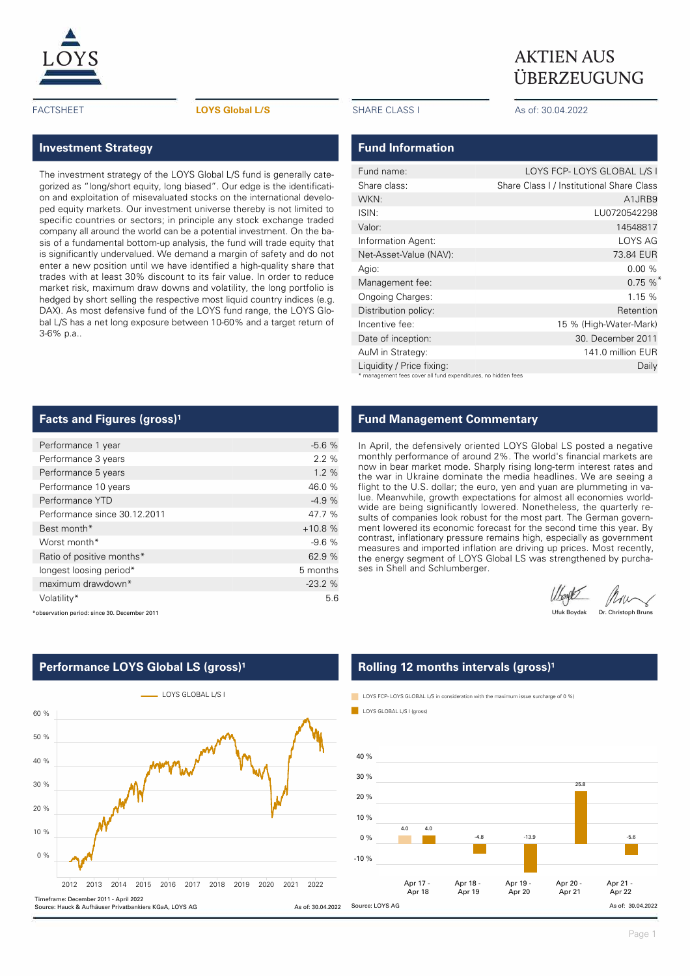

#### FACTSHEET **LOYS Global L/S** SHARE CLASS I As of: 30.04.2022

### **Investment Strategy**

The investment strategy of the LOYS Global L/S fund is generally categorized as "long/short equity, long biased". Our edge is the identification and exploitation of misevaluated stocks on the international developed equity markets. Our investment universe thereby is not limited to specific countries or sectors; in principle any stock exchange traded company all around the world can be a potential investment. On the basis of a fundamental bottom-up analysis, the fund will trade equity that is significantly undervalued. We demand a margin of safety and do not enter a new position until we have identified a high-quality share that trades with at least 30% discount to its fair value. In order to reduce market risk, maximum draw downs and volatility, the long portfolio is hedged by short selling the respective most liquid country indices (e.g. DAX). As most defensive fund of the LOYS fund range, the LOYS Global L/S has a net long exposure between 10-60% and a target return of 3-6% p.a..

ÜBERZEUGUNG

### **Fund Information**

| Fund name:                                                    | LOYS FCP-LOYS GLOBAL L/S I                |  |  |  |  |  |  |  |
|---------------------------------------------------------------|-------------------------------------------|--|--|--|--|--|--|--|
| Share class:                                                  | Share Class I / Institutional Share Class |  |  |  |  |  |  |  |
| WKN:                                                          | A1JRB9                                    |  |  |  |  |  |  |  |
| ISIN:                                                         | LU0720542298                              |  |  |  |  |  |  |  |
| Valor:                                                        | 14548817                                  |  |  |  |  |  |  |  |
| Information Agent:                                            | LOYS AG                                   |  |  |  |  |  |  |  |
| Net-Asset-Value (NAV):                                        | 73.84 EUR                                 |  |  |  |  |  |  |  |
| Agio:                                                         | 0.00%                                     |  |  |  |  |  |  |  |
| Management fee:                                               | 0.75%                                     |  |  |  |  |  |  |  |
| Ongoing Charges:                                              | 1.15%                                     |  |  |  |  |  |  |  |
| Distribution policy:                                          | Retention                                 |  |  |  |  |  |  |  |
| Incentive fee:                                                | 15 % (High-Water-Mark)                    |  |  |  |  |  |  |  |
| Date of inception:                                            | 30. December 2011                         |  |  |  |  |  |  |  |
| AuM in Strategy:                                              | 141.0 million EUR                         |  |  |  |  |  |  |  |
| Liquidity / Price fixing:                                     | Daily                                     |  |  |  |  |  |  |  |
| * management fees cover all fund expenditures, no hidden fees |                                           |  |  |  |  |  |  |  |

### **Facts and Figures (gross)<sup>1</sup>**

\*observation period: since 30. December 2011

| Performance 1 year           | $-5.6%$  |
|------------------------------|----------|
| Performance 3 years          | 2.2%     |
| Performance 5 years          | 1.2%     |
| Performance 10 years         | 46.0 %   |
| Performance YTD              | $-4.9%$  |
| Performance since 30.12.2011 | 47.7 %   |
| Best month*                  | $+10.8%$ |
| Worst month*                 | $-9.6%$  |
| Ratio of positive months*    | 62.9 %   |
| longest loosing period*      | 5 months |
| maximum drawdown*            | $-23.2%$ |
| Volatility*                  | 5.6      |

### **Fund Management Commentary**

In April, the defensively oriented LOYS Global LS posted a negative monthly performance of around 2%. The world's financial markets are now in bear market mode. Sharply rising long-term interest rates and the war in Ukraine dominate the media headlines. We are seeing a flight to the U.S. dollar; the euro, yen and yuan are plummeting in value. Meanwhile, growth expectations for almost all economies worldwide are being significantly lowered. Nonetheless, the quarterly results of companies look robust for the most part. The German government lowered its economic forecast for the second time this year. By contrast, inflationary pressure remains high, especially as government measures and imported inflation are driving up prices. Most recently, the energy segment of LOYS Global LS was strengthened by purchases in Shell and Schlumberger.

Work Mans

Ufuk Boydak Dr. Christoph Bruns





### **Rolling 12 months intervals (gross)<sup>1</sup>**

LOYS FCP- LOYS GLOBAL L/S in consideration with the maximum issue surcharge of 0 %)

LOYS GLOBAL L/S L(gross)

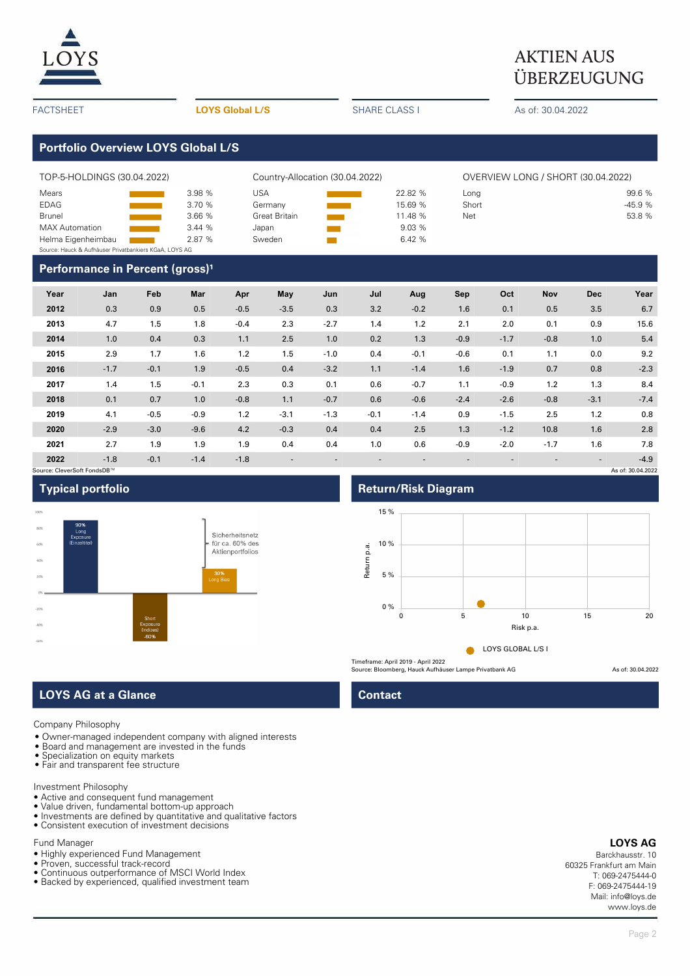

# **AKTIEN AUS** ÜBERZEUGUNG

| <b>FACTSHEET</b>                                                                     |                                                        |        |                                                | <b>LOYS Global L/S</b> |                                             |                        | <b>SHARE CLASS I</b>               |                                                   |                      | As of: 30.04.2022 |        |            |                             |  |
|--------------------------------------------------------------------------------------|--------------------------------------------------------|--------|------------------------------------------------|------------------------|---------------------------------------------|------------------------|------------------------------------|---------------------------------------------------|----------------------|-------------------|--------|------------|-----------------------------|--|
|                                                                                      | <b>Portfolio Overview LOYS Global L/S</b>              |        |                                                |                        |                                             |                        |                                    |                                                   |                      |                   |        |            |                             |  |
|                                                                                      | TOP-5-HOLDINGS (30.04.2022)                            |        | Country-Allocation (30.04.2022)                |                        |                                             |                        | OVERVIEW LONG / SHORT (30.04.2022) |                                                   |                      |                   |        |            |                             |  |
| Mears<br><b>EDAG</b><br><b>Brunel</b><br><b>MAX</b> Automation<br>Helma Eigenheimbau | Source: Hauck & Aufhäuser Privatbankiers KGaA, LOYS AG |        | 3.98 %<br>3.70 %<br>3.66 %<br>3.44 %<br>2.87 % | <b>USA</b>             | Germany<br>Great Britain<br>Japan<br>Sweden | <b>Service Service</b> |                                    | 22.82 %<br>15.69 %<br>11.48 %<br>9.03 %<br>6.42 % | Long<br>Short<br>Net |                   |        |            | 99.6%<br>$-45.9%$<br>53.8 % |  |
| Performance in Percent (gross) <sup>1</sup>                                          |                                                        |        |                                                |                        |                                             |                        |                                    |                                                   |                      |                   |        |            |                             |  |
| Year                                                                                 | Jan                                                    | Feb    | Mar                                            | Apr                    | May                                         | Jun                    | Jul                                | Aug                                               | Sep                  | Oct               | Nov    | <b>Dec</b> | Year                        |  |
| 2012                                                                                 | 0.3                                                    | 0.9    | 0.5                                            | $-0.5$                 | $-3.5$                                      | 0.3                    | 3.2                                | $-0.2$                                            | 1.6                  | 0.1               | 0.5    | 3.5        | 6.7                         |  |
| 2013                                                                                 | 4.7                                                    | 1.5    | 1.8                                            | $-0.4$                 | 2.3                                         | $-2.7$                 | 1.4                                | 1.2                                               | 2.1                  | 2.0               | 0.1    | 0.9        | 15.6                        |  |
| 2014                                                                                 | 1.0                                                    | 0.4    | 0.3                                            | 1.1                    | 2.5                                         | 1.0                    | 0.2                                | 1.3                                               | $-0.9$               | $-1.7$            | $-0.8$ | 1.0        | 5.4                         |  |
| 2015                                                                                 | 2.9                                                    | 1.7    | 1.6                                            | 1.2                    | 1.5                                         | $-1.0$                 | 0.4                                | $-0.1$                                            | $-0.6$               | 0.1               | 1.1    | 0.0        | 9.2                         |  |
| 2016                                                                                 | $-1.7$                                                 | $-0.1$ | 1.9                                            | $-0.5$                 | 0.4                                         | $-3.2$                 | 1.1                                | $-1.4$                                            | 1.6                  | $-1.9$            | 0.7    | 0.8        | $-2.3$                      |  |
| 2017                                                                                 | 1.4                                                    | 1.5    | $-0.1$                                         | 2.3                    | 0.3                                         | 0.1                    | 0.6                                | $-0.7$                                            | 1.1                  | $-0.9$            | 1.2    | 1.3        | 8.4                         |  |
| 2018                                                                                 | 0.1                                                    | 0.7    | 1.0                                            | $-0.8$                 | 1.1                                         | $-0.7$                 | 0.6                                | $-0.6$                                            | $-2.4$               | $-2.6$            | $-0.8$ | $-3.1$     | $-7.4$                      |  |
| 2019                                                                                 | 4.1                                                    | $-0.5$ | $-0.9$                                         | 1.2                    | $-3.1$                                      | $-1.3$                 | $-0.1$                             | $-1.4$                                            | 0.9                  | $-1.5$            | 2.5    | 1.2        | 0.8                         |  |
| 2020                                                                                 | $-2.9$                                                 | $-3.0$ | $-9.6$                                         | 4.2                    | $-0.3$                                      | 0.4                    | 0.4                                | 2.5                                               | 1.3                  | $-1.2$            | 10.8   | 1.6        | 2.8                         |  |
| 2021                                                                                 | 2.7                                                    | 1.9    | 1.9                                            | 1.9                    | 0.4                                         | 0.4                    | 1.0                                | 0.6                                               | $-0.9$               | $-2.0$            | $-1.7$ | 1.6        | 7.8                         |  |
| 2022                                                                                 | $-1.8$                                                 | $-0.1$ | $-1.4$                                         | $-1.8$                 |                                             |                        |                                    |                                                   |                      |                   |        |            | $-4.9$                      |  |

## Source: CleverSoft FondsDB™ As of: 30.04.2022





## **LOYS AG at a Glance Contact**

Company Philosophy

- Owner-managed independent company with aligned interests
- Board and management are invested in the funds
- Specialization on equity markets • Fair and transparent fee structure
- 

#### Investment Philosophy

- Active and consequent fund management
- Value driven, fundamental bottom-up approach • Investments are defined by quantitative and qualitative factors
- Consistent execution of investment decisions

### Fund Manager

- Highly experienced Fund Management
- Proven, successful track-record
- Continuous outperformance of MSCI World Index
- Backed by experienced, qualified investment team

## **Typical portfolio Return/Risk Diagram**



Source: Bloomberg, Hauck Aufhäuser Lampe Privatbank AG As of: 30.04.2022

### **LOYS AG**

Barckhausstr. 10 60325 Frankfurt am Main T: 069-2475444-0 F: 069-2475444-19 Mail: info@loys.de www.loys.de